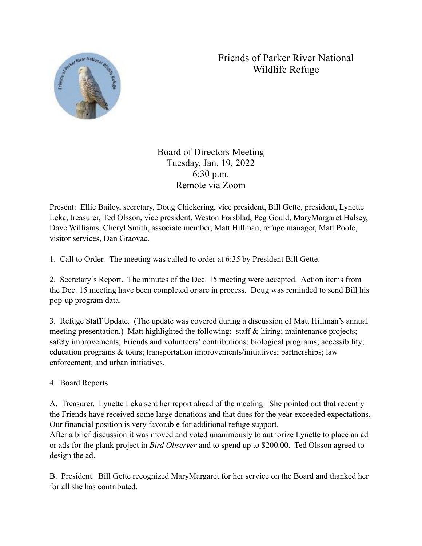## Friends of Parker River National Wildlife Refuge



Board of Directors Meeting Tuesday, Jan. 19, 2022 6:30 p.m. Remote via Zoom

Present: Ellie Bailey, secretary, Doug Chickering, vice president, Bill Gette, president, Lynette Leka, treasurer, Ted Olsson, vice president, Weston Forsblad, Peg Gould, MaryMargaret Halsey, Dave Williams, Cheryl Smith, associate member, Matt Hillman, refuge manager, Matt Poole, visitor services, Dan Graovac.

1. Call to Order. The meeting was called to order at 6:35 by President Bill Gette.

2. Secretary's Report. The minutes of the Dec. 15 meeting were accepted. Action items from the Dec. 15 meeting have been completed or are in process. Doug was reminded to send Bill his pop-up program data.

3. Refuge Staff Update. (The update was covered during a discussion of Matt Hillman's annual meeting presentation.) Matt highlighted the following: staff & hiring; maintenance projects; safety improvements; Friends and volunteers' contributions; biological programs; accessibility; education programs & tours; transportation improvements/initiatives; partnerships; law enforcement; and urban initiatives.

## 4. Board Reports

A. Treasurer. Lynette Leka sent her report ahead of the meeting. She pointed out that recently the Friends have received some large donations and that dues for the year exceeded expectations. Our financial position is very favorable for additional refuge support.

After a brief discussion it was moved and voted unanimously to authorize Lynette to place an ad or ads for the plank project in *Bird Observer* and to spend up to \$200.00. Ted Olsson agreed to design the ad.

B. President. Bill Gette recognized MaryMargaret for her service on the Board and thanked her for all she has contributed.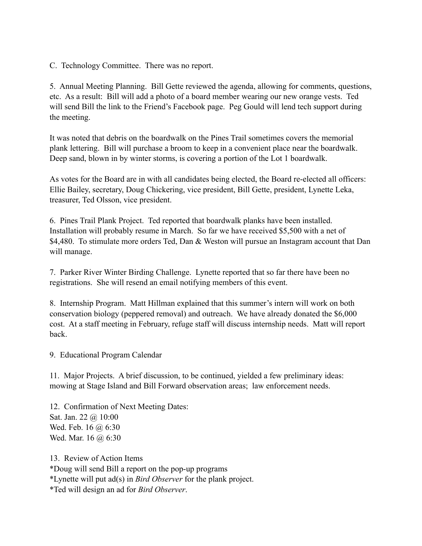C. Technology Committee. There was no report.

5. Annual Meeting Planning. Bill Gette reviewed the agenda, allowing for comments, questions, etc. As a result: Bill will add a photo of a board member wearing our new orange vests. Ted will send Bill the link to the Friend's Facebook page. Peg Gould will lend tech support during the meeting.

It was noted that debris on the boardwalk on the Pines Trail sometimes covers the memorial plank lettering. Bill will purchase a broom to keep in a convenient place near the boardwalk. Deep sand, blown in by winter storms, is covering a portion of the Lot 1 boardwalk.

As votes for the Board are in with all candidates being elected, the Board re-elected all officers: Ellie Bailey, secretary, Doug Chickering, vice president, Bill Gette, president, Lynette Leka, treasurer, Ted Olsson, vice president.

6. Pines Trail Plank Project. Ted reported that boardwalk planks have been installed. Installation will probably resume in March. So far we have received \$5,500 with a net of \$4,480. To stimulate more orders Ted, Dan & Weston will pursue an Instagram account that Dan will manage.

7. Parker River Winter Birding Challenge. Lynette reported that so far there have been no registrations. She will resend an email notifying members of this event.

8. Internship Program. Matt Hillman explained that this summer's intern will work on both conservation biology (peppered removal) and outreach. We have already donated the \$6,000 cost. At a staff meeting in February, refuge staff will discuss internship needs. Matt will report back.

9. Educational Program Calendar

11. Major Projects. A brief discussion, to be continued, yielded a few preliminary ideas: mowing at Stage Island and Bill Forward observation areas; law enforcement needs.

12. Confirmation of Next Meeting Dates: Sat. Jan. 22 @ 10:00 Wed. Feb. 16 @ 6:30 Wed. Mar. 16 @ 6:30

13. Review of Action Items \*Doug will send Bill a report on the pop-up programs \*Lynette will put ad(s) in *Bird Observer* for the plank project. \*Ted will design an ad for *Bird Observer*.